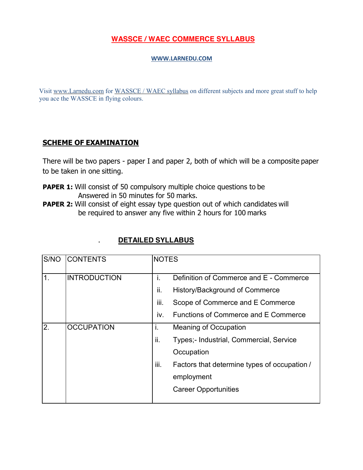## **[WASSCE / WAEC](http://www.larnedu.com/wassce-waec-past-practice-questions/) COMMERCE SYLLABUS**

## **[WWW.LARNEDU.COM](http://www.larnedu.com/)**

Visit [www.Larnedu.com](http://www.larnedu.com/) for [WASSCE / WAEC syllabus](http://www.larnedu.com/wassce-waec-syllabus/) on different subjects and more great stuff to help you ace the WASSCE in flying colours.

## **SCHEME OF EXAMINATION**

There will be two papers - paper I and paper 2, both of which will be a composite paper to be taken in one sitting.

- **PAPER 1:** Will consist of 50 compulsory multiple choice questions to be Answered in 50 minutes for 50 marks.
- **PAPER 2:** Will consist of eight essay type question out of which candidates will be required to answer any five within 2 hours for 100 marks

| <b>DETAILED SYLLABUS</b> |
|--------------------------|
|                          |

| S/NO | <b>CONTENTS</b>     | <b>NOTES</b> |                                              |
|------|---------------------|--------------|----------------------------------------------|
| 1.   | <b>INTRODUCTION</b> | Τ.           | Definition of Commerce and E - Commerce      |
|      |                     | ii.          | History/Background of Commerce               |
|      |                     | iii.         | Scope of Commerce and E Commerce             |
|      |                     | IV.          | <b>Functions of Commerce and E Commerce</b>  |
| 2.   | <b>OCCUPATION</b>   | Τ.           | <b>Meaning of Occupation</b>                 |
|      |                     | ii.          | Types;- Industrial, Commercial, Service      |
|      |                     |              | Occupation                                   |
|      |                     | Ш.           | Factors that determine types of occupation / |
|      |                     |              | employment                                   |
|      |                     |              | <b>Career Opportunities</b>                  |
|      |                     |              |                                              |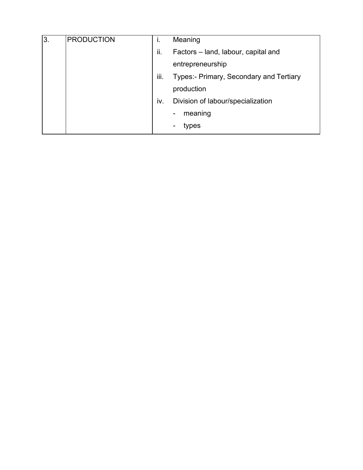| I3. | PRODUCTION | Τ.   | Meaning                                 |
|-----|------------|------|-----------------------------------------|
|     |            | ii.  | Factors – land, labour, capital and     |
|     |            |      | entrepreneurship                        |
|     |            | iii. | Types:- Primary, Secondary and Tertiary |
|     |            |      | production                              |
|     |            | IV.  | Division of labour/specialization       |
|     |            |      | meaning<br>$\qquad \qquad \blacksquare$ |
|     |            |      | types                                   |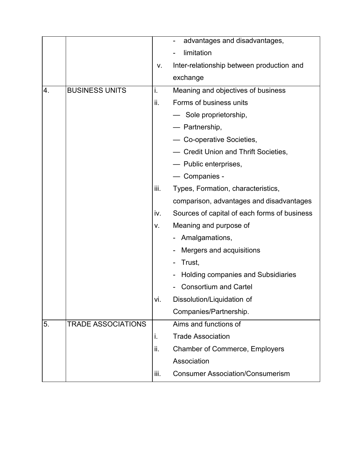|    |                           |      | advantages and disadvantages,                |
|----|---------------------------|------|----------------------------------------------|
|    |                           |      | limitation                                   |
|    |                           | V.   | Inter-relationship between production and    |
|    |                           |      | exchange                                     |
| 4. | <b>BUSINESS UNITS</b>     | i.   | Meaning and objectives of business           |
|    |                           | ii.  | Forms of business units                      |
|    |                           |      | - Sole proprietorship,                       |
|    |                           |      | — Partnership,                               |
|    |                           |      | - Co-operative Societies,                    |
|    |                           |      | - Credit Union and Thrift Societies,         |
|    |                           |      | - Public enterprises,                        |
|    |                           |      | - Companies -                                |
|    |                           | iii. | Types, Formation, characteristics,           |
|    |                           |      | comparison, advantages and disadvantages     |
|    |                           | iv.  | Sources of capital of each forms of business |
|    |                           | v.   | Meaning and purpose of                       |
|    |                           |      | Amalgamations,<br>-                          |
|    |                           |      | Mergers and acquisitions                     |
|    |                           |      | Trust,<br>$\qquad \qquad$                    |
|    |                           |      | Holding companies and Subsidiaries           |
|    |                           |      | <b>Consortium and Cartel</b>                 |
|    |                           | Vİ.  | Dissolution/Liquidation of                   |
|    |                           |      | Companies/Partnership.                       |
| 5. | <b>TRADE ASSOCIATIONS</b> |      | Aims and functions of                        |
|    |                           | i.   | <b>Trade Association</b>                     |
|    |                           | ii.  | <b>Chamber of Commerce, Employers</b>        |
|    |                           |      | Association                                  |
|    |                           | iii. | <b>Consumer Association/Consumerism</b>      |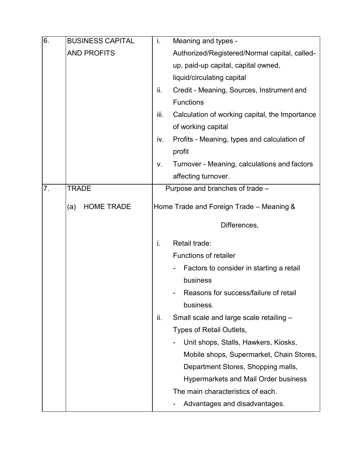| 6. | <b>BUSINESS CAPITAL</b>  | i.   | Meaning and types -                            |
|----|--------------------------|------|------------------------------------------------|
|    | <b>AND PROFITS</b>       |      | Authorized/Registered/Normal capital, called-  |
|    |                          |      | up, paid-up capital, capital owned,            |
|    |                          |      | liquid/circulating capital                     |
|    |                          | ii.  | Credit - Meaning, Sources, Instrument and      |
|    |                          |      | <b>Functions</b>                               |
|    |                          | iii. | Calculation of working capital, the Importance |
|    |                          |      | of working capital                             |
|    |                          | iv.  | Profits - Meaning, types and calculation of    |
|    |                          |      | profit                                         |
|    |                          | V.   | Turnover - Meaning, calculations and factors   |
|    |                          |      | affecting turnover.                            |
| 7. | <b>TRADE</b>             |      | Purpose and branches of trade -                |
|    | <b>HOME TRADE</b><br>(a) |      | Home Trade and Foreign Trade - Meaning &       |
|    |                          |      |                                                |
|    |                          |      | Differences,                                   |
|    |                          | i.   | Retail trade:                                  |
|    |                          |      | <b>Functions of retailer</b>                   |
|    |                          |      | Factors to consider in starting a retail       |
|    |                          |      | business                                       |
|    |                          |      | Reasons for success/failure of retail          |
|    |                          |      | business.                                      |
|    |                          | ii.  | Small scale and large scale retailing -        |
|    |                          |      | Types of Retail Outlets,                       |
|    |                          |      | Unit shops, Stalls, Hawkers, Kiosks,           |
|    |                          |      | Mobile shops, Supermarket, Chain Stores,       |
|    |                          |      | Department Stores, Shopping malls,             |
|    |                          |      | <b>Hypermarkets and Mail Order business</b>    |
|    |                          |      | The main characteristics of each.              |
|    |                          |      | Advantages and disadvantages.                  |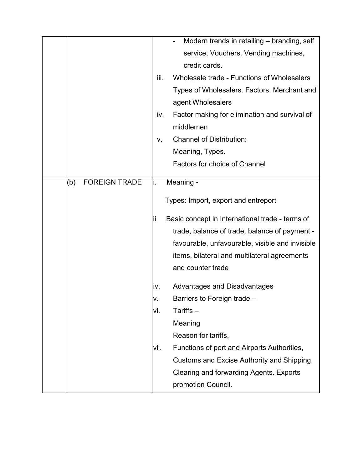|                             |      | Modern trends in retailing - branding, self     |
|-----------------------------|------|-------------------------------------------------|
|                             |      | service, Vouchers. Vending machines,            |
|                             |      | credit cards.                                   |
|                             | iii. | Wholesale trade - Functions of Wholesalers      |
|                             |      | Types of Wholesalers. Factors. Merchant and     |
|                             |      | agent Wholesalers                               |
|                             | iv.  | Factor making for elimination and survival of   |
|                             |      | middlemen                                       |
|                             | V.   | <b>Channel of Distribution:</b>                 |
|                             |      | Meaning, Types.                                 |
|                             |      | <b>Factors for choice of Channel</b>            |
| <b>FOREIGN TRADE</b><br>(b) | İ.   | Meaning -                                       |
|                             |      |                                                 |
|                             |      | Types: Import, export and entreport             |
|                             | Ϊi   | Basic concept in International trade - terms of |
|                             |      | trade, balance of trade, balance of payment -   |
|                             |      | favourable, unfavourable, visible and invisible |
|                             |      | items, bilateral and multilateral agreements    |
|                             |      | and counter trade                               |
|                             | IV.  | Advantages and Disadvantages                    |
|                             | V.   | Barriers to Foreign trade -                     |
|                             | vi.  | Tariffs-                                        |
|                             |      | Meaning                                         |
|                             |      | Reason for tariffs,                             |
|                             | vii. | Functions of port and Airports Authorities,     |
|                             |      | Customs and Excise Authority and Shipping,      |
|                             |      | Clearing and forwarding Agents. Exports         |
|                             |      | promotion Council.                              |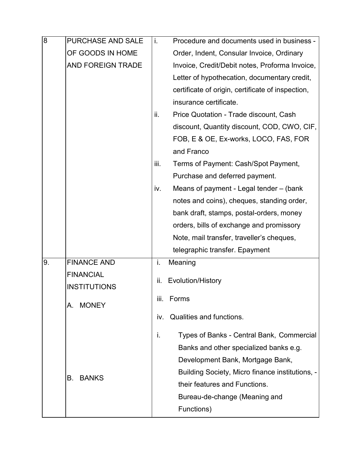| 8  | <b>PURCHASE AND SALE</b> | i.   | Procedure and documents used in business -        |
|----|--------------------------|------|---------------------------------------------------|
|    | OF GOODS IN HOME         |      | Order, Indent, Consular Invoice, Ordinary         |
|    | <b>AND FOREIGN TRADE</b> |      | Invoice, Credit/Debit notes, Proforma Invoice,    |
|    |                          |      | Letter of hypothecation, documentary credit,      |
|    |                          |      | certificate of origin, certificate of inspection, |
|    |                          |      | insurance certificate.                            |
|    |                          | ii.  | Price Quotation - Trade discount, Cash            |
|    |                          |      | discount, Quantity discount, COD, CWO, CIF,       |
|    |                          |      | FOB, E & OE, Ex-works, LOCO, FAS, FOR             |
|    |                          |      | and Franco                                        |
|    |                          | iii. | Terms of Payment: Cash/Spot Payment,              |
|    |                          |      | Purchase and deferred payment.                    |
|    |                          | iv.  | Means of payment - Legal tender – (bank           |
|    |                          |      | notes and coins), cheques, standing order,        |
|    |                          |      | bank draft, stamps, postal-orders, money          |
|    |                          |      | orders, bills of exchange and promissory          |
|    |                          |      | Note, mail transfer, traveller's cheques,         |
|    |                          |      | telegraphic transfer. Epayment                    |
| 9. | <b>FINANCE AND</b>       | i.   | Meaning                                           |
|    | <b>FINANCIAL</b>         | ii.  | Evolution/History                                 |
|    | <b>INSTITUTIONS</b>      |      |                                                   |
|    | <b>MONEY</b><br>А.       | iii. | Forms                                             |
|    |                          | IV.  | Qualities and functions.                          |
|    |                          | İ.   | Types of Banks - Central Bank, Commercial         |
|    |                          |      | Banks and other specialized banks e.g.            |
|    |                          |      | Development Bank, Mortgage Bank,                  |
|    | В.<br><b>BANKS</b>       |      | Building Society, Micro finance institutions, -   |
|    |                          |      | their features and Functions.                     |
|    |                          |      | Bureau-de-change (Meaning and                     |
|    |                          |      | Functions)                                        |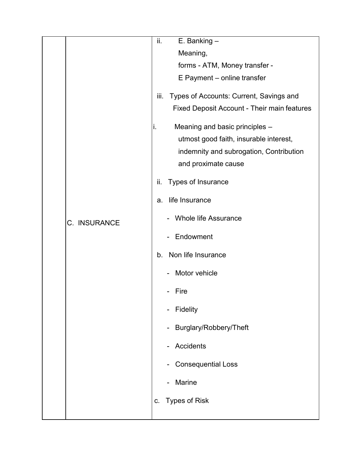|  |              | ii.  | $E.$ Banking $-$                                   |
|--|--------------|------|----------------------------------------------------|
|  |              |      | Meaning,                                           |
|  |              |      | forms - ATM, Money transfer -                      |
|  |              |      | E Payment - online transfer                        |
|  |              | iii. | Types of Accounts: Current, Savings and            |
|  |              |      | Fixed Deposit Account - Their main features        |
|  |              | i.   | Meaning and basic principles -                     |
|  |              |      | utmost good faith, insurable interest,             |
|  |              |      | indemnity and subrogation, Contribution            |
|  |              |      | and proximate cause                                |
|  |              | ii.  | Types of Insurance                                 |
|  |              | a.   | life Insurance                                     |
|  | C. INSURANCE |      | <b>Whole life Assurance</b>                        |
|  |              |      | Endowment                                          |
|  |              | b.   | Non life Insurance                                 |
|  |              |      | Motor vehicle                                      |
|  |              |      | Fire                                               |
|  |              |      | Fidelity<br>-                                      |
|  |              |      | Burglary/Robbery/Theft<br>$\overline{\phantom{0}}$ |
|  |              |      | Accidents<br>$\overline{\phantom{0}}$              |
|  |              |      | <b>Consequential Loss</b>                          |
|  |              |      | Marine                                             |
|  |              | C.   | <b>Types of Risk</b>                               |
|  |              |      |                                                    |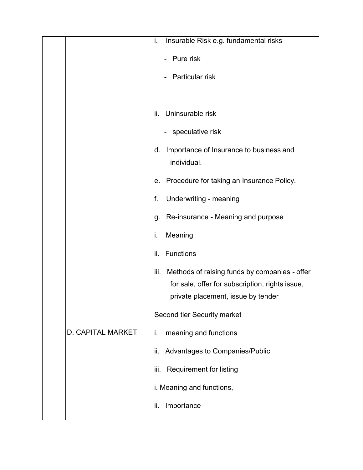|                          | i.   | Insurable Risk e.g. fundamental risks                  |
|--------------------------|------|--------------------------------------------------------|
|                          |      | Pure risk                                              |
|                          |      | Particular risk                                        |
|                          |      |                                                        |
|                          | ii.  | Uninsurable risk                                       |
|                          |      |                                                        |
|                          |      | - speculative risk                                     |
|                          | d.   | Importance of Insurance to business and<br>individual. |
|                          |      |                                                        |
|                          | е.   | Procedure for taking an Insurance Policy.              |
|                          | f.   | Underwriting - meaning                                 |
|                          | g.   | Re-insurance - Meaning and purpose                     |
|                          | i.   | Meaning                                                |
|                          | ii.  | Functions                                              |
|                          | iii. | Methods of raising funds by companies - offer          |
|                          |      | for sale, offer for subscription, rights issue,        |
|                          |      | private placement, issue by tender                     |
|                          |      | Second tier Security market                            |
| <b>D. CAPITAL MARKET</b> | i.   | meaning and functions                                  |
|                          | ii.  | Advantages to Companies/Public                         |
|                          | iii. | <b>Requirement for listing</b>                         |
|                          |      | i. Meaning and functions,                              |
|                          | ii.  | Importance                                             |
|                          |      |                                                        |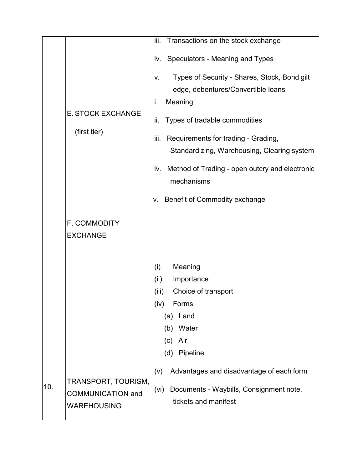|     |                          | Transactions on the stock exchange<br>iii.            |
|-----|--------------------------|-------------------------------------------------------|
|     |                          | Speculators - Meaning and Types<br>IV.                |
|     |                          | Types of Security - Shares, Stock, Bond gilt<br>V.    |
|     |                          | edge, debentures/Convertible loans                    |
|     |                          | Meaning<br>i.                                         |
|     | <b>E. STOCK EXCHANGE</b> | Types of tradable commodities<br>ii.                  |
|     | (first tier)             | Requirements for trading - Grading,<br>iii.           |
|     |                          | Standardizing, Warehousing, Clearing system           |
|     |                          | Method of Trading - open outcry and electronic<br>IV. |
|     |                          | mechanisms                                            |
|     |                          | Benefit of Commodity exchange<br>ν.                   |
|     | F. COMMODITY             |                                                       |
|     | <b>EXCHANGE</b>          |                                                       |
|     |                          |                                                       |
|     |                          | (i)<br>Meaning                                        |
|     |                          | Importance<br>(ii)                                    |
|     |                          | Choice of transport<br>(iii)                          |
|     |                          | Forms<br>(iv)                                         |
|     |                          | Land<br>(a)                                           |
|     |                          | (b) Water<br>Air                                      |
|     |                          | (c)<br>Pipeline<br>(d)                                |
|     |                          |                                                       |
|     | TRANSPORT, TOURISM,      | Advantages and disadvantage of each form<br>(V)       |
| 10. | <b>COMMUNICATION and</b> | Documents - Waybills, Consignment note,<br>(vi)       |
|     | <b>WAREHOUSING</b>       | tickets and manifest                                  |
|     |                          |                                                       |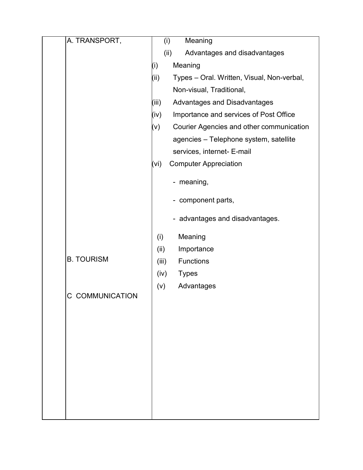| A. TRANSPORT,     | Meaning<br>(i)                                     |
|-------------------|----------------------------------------------------|
|                   | (ii)<br>Advantages and disadvantages               |
|                   | Meaning<br>(i)                                     |
|                   | (ii)<br>Types - Oral. Written, Visual, Non-verbal, |
|                   | Non-visual, Traditional,                           |
|                   | (iii)<br>Advantages and Disadvantages              |
|                   | Importance and services of Post Office<br>(iv)     |
|                   | Courier Agencies and other communication<br>(v)    |
|                   | agencies - Telephone system, satellite             |
|                   | services, internet- E-mail                         |
|                   | <b>Computer Appreciation</b><br>(vi)               |
|                   | - meaning,                                         |
|                   | - component parts,                                 |
|                   | - advantages and disadvantages.                    |
|                   | Meaning<br>(i)                                     |
|                   | (ii)<br>Importance                                 |
| <b>B. TOURISM</b> | <b>Functions</b><br>(iii)                          |
|                   | (iv)<br><b>Types</b>                               |
| C COMMUNICATION   | (v)<br>Advantages                                  |
|                   |                                                    |
|                   |                                                    |
|                   |                                                    |
|                   |                                                    |
|                   |                                                    |
|                   |                                                    |
|                   |                                                    |
|                   |                                                    |
|                   |                                                    |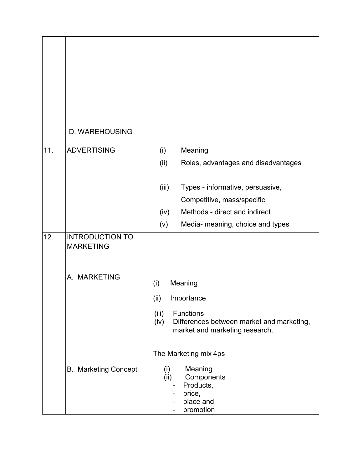|     | D. WAREHOUSING                             |                                                                                                                                     |
|-----|--------------------------------------------|-------------------------------------------------------------------------------------------------------------------------------------|
| 11. | <b>ADVERTISING</b>                         | Meaning<br>(i)                                                                                                                      |
|     |                                            | (ii)<br>Roles, advantages and disadvantages                                                                                         |
|     |                                            | (iii)<br>Types - informative, persuasive,                                                                                           |
|     |                                            | Competitive, mass/specific                                                                                                          |
|     |                                            | Methods - direct and indirect<br>(iv)                                                                                               |
|     |                                            | Media- meaning, choice and types<br>(v)                                                                                             |
| 12  | <b>INTRODUCTION TO</b><br><b>MARKETING</b> |                                                                                                                                     |
|     | A. MARKETING                               | Meaning<br>(i)                                                                                                                      |
|     |                                            | (ii)<br>Importance                                                                                                                  |
|     |                                            | (iii)<br><b>Functions</b><br>(iv)<br>Differences between market and marketing,<br>market and marketing research.                    |
|     |                                            | The Marketing mix 4ps                                                                                                               |
|     | <b>B. Marketing Concept</b>                | Meaning<br>(i)<br>(ii)<br>Components<br>Products,<br>$\blacksquare$<br>price,<br>place and<br>$\overline{\phantom{a}}$<br>promotion |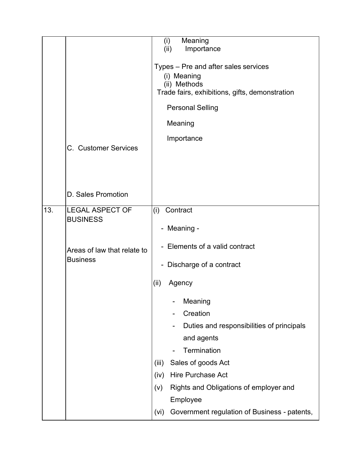|     |                                                | (i)<br>(ii)                                         | Meaning<br>Importance                          |
|-----|------------------------------------------------|-----------------------------------------------------|------------------------------------------------|
|     |                                                |                                                     |                                                |
|     |                                                | Types - Pre and after sales services<br>(i) Meaning |                                                |
|     |                                                |                                                     | (ii) Methods                                   |
|     |                                                |                                                     | Trade fairs, exhibitions, gifts, demonstration |
|     |                                                |                                                     | <b>Personal Selling</b>                        |
|     | C. Customer Services                           |                                                     | Meaning                                        |
|     |                                                |                                                     | Importance                                     |
|     |                                                |                                                     |                                                |
|     |                                                |                                                     |                                                |
|     |                                                |                                                     |                                                |
|     | D. Sales Promotion                             |                                                     |                                                |
| 13. | <b>LEGAL ASPECT OF</b>                         | (i)                                                 | Contract                                       |
|     | <b>BUSINESS</b>                                |                                                     |                                                |
|     |                                                |                                                     | - Meaning -                                    |
|     | Areas of law that relate to<br><b>Business</b> |                                                     | - Elements of a valid contract                 |
|     |                                                | $\blacksquare$                                      | Discharge of a contract                        |
|     |                                                | (ii)                                                | Agency                                         |
|     |                                                |                                                     | Meaning                                        |
|     |                                                |                                                     | Creation                                       |
|     |                                                |                                                     | Duties and responsibilities of principals      |
|     |                                                |                                                     | and agents                                     |
|     |                                                |                                                     | Termination                                    |
|     |                                                | (iii)                                               | Sales of goods Act                             |
|     |                                                | (iv)                                                | Hire Purchase Act                              |
|     |                                                | (v)                                                 | Rights and Obligations of employer and         |
|     |                                                |                                                     | Employee                                       |
|     |                                                | (vi)                                                | Government regulation of Business - patents,   |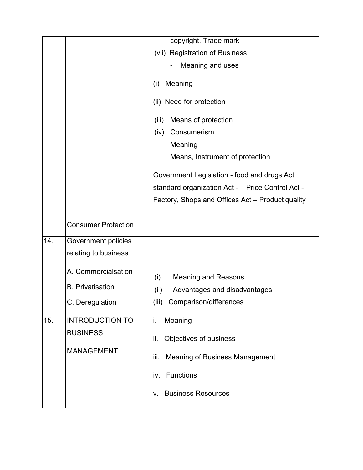|     |                            | copyright. Trade mark                            |
|-----|----------------------------|--------------------------------------------------|
|     |                            | (vii) Registration of Business                   |
|     |                            | Meaning and uses                                 |
|     |                            |                                                  |
|     |                            | Meaning<br>(i)                                   |
|     |                            | (ii) Need for protection                         |
|     |                            | Means of protection<br>(iii)                     |
|     |                            | Consumerism<br>(iv)                              |
|     |                            | Meaning                                          |
|     |                            | Means, Instrument of protection                  |
|     |                            | Government Legislation - food and drugs Act      |
|     |                            | standard organization Act - Price Control Act -  |
|     |                            | Factory, Shops and Offices Act - Product quality |
|     |                            |                                                  |
|     | <b>Consumer Protection</b> |                                                  |
| 14. | Government policies        |                                                  |
|     | relating to business       |                                                  |
|     |                            |                                                  |
|     | A. Commercialsation        | (i)<br><b>Meaning and Reasons</b>                |
|     | <b>B.</b> Privatisation    | (ii)<br>Advantages and disadvantages             |
|     | C. Deregulation            | (iii) Comparison/differences                     |
|     |                            |                                                  |
| 15. | <b>INTRODUCTION TO</b>     | Meaning<br>i.                                    |
|     | <b>BUSINESS</b>            | Objectives of business<br>ii.                    |
|     | <b>MANAGEMENT</b>          |                                                  |
|     |                            | <b>Meaning of Business Management</b><br>iii.    |
|     |                            | Functions<br>IV.                                 |
|     |                            | <b>Business Resources</b><br>V.                  |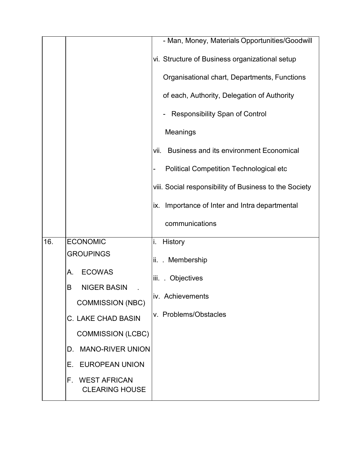|     |                                                                                       | - Man, Money, Materials Opportunities/Goodwill         |
|-----|---------------------------------------------------------------------------------------|--------------------------------------------------------|
|     |                                                                                       | vi. Structure of Business organizational setup         |
|     |                                                                                       | Organisational chart, Departments, Functions           |
|     |                                                                                       | of each, Authority, Delegation of Authority            |
|     |                                                                                       | <b>Responsibility Span of Control</b>                  |
|     |                                                                                       | <b>Meanings</b>                                        |
|     |                                                                                       | <b>Business and its environment Economical</b><br>vii. |
|     |                                                                                       | <b>Political Competition Technological etc</b>         |
|     |                                                                                       | viii. Social responsibility of Business to the Society |
|     |                                                                                       | ix. Importance of Inter and Intra departmental         |
|     |                                                                                       | communications                                         |
| 16. | <b>ECONOMIC</b><br><b>GROUPINGS</b><br><b>ECOWAS</b><br>А.<br><b>NIGER BASIN</b><br>B | History<br>i.                                          |
|     |                                                                                       | Membership<br>ii. .                                    |
|     |                                                                                       | iii. Objectives                                        |
|     |                                                                                       | iv. Achievements                                       |
|     | <b>COMMISSION (NBC)</b><br><b>C. LAKE CHAD BASIN</b>                                  | v. Problems/Obstacles                                  |
|     | <b>COMMISSION (LCBC)</b>                                                              |                                                        |
|     | <b>MANO-RIVER UNION</b><br>D.                                                         |                                                        |
|     | <b>EUROPEAN UNION</b><br>Е.                                                           |                                                        |
|     | <b>WEST AFRICAN</b><br>F.<br><b>CLEARING HOUSE</b>                                    |                                                        |